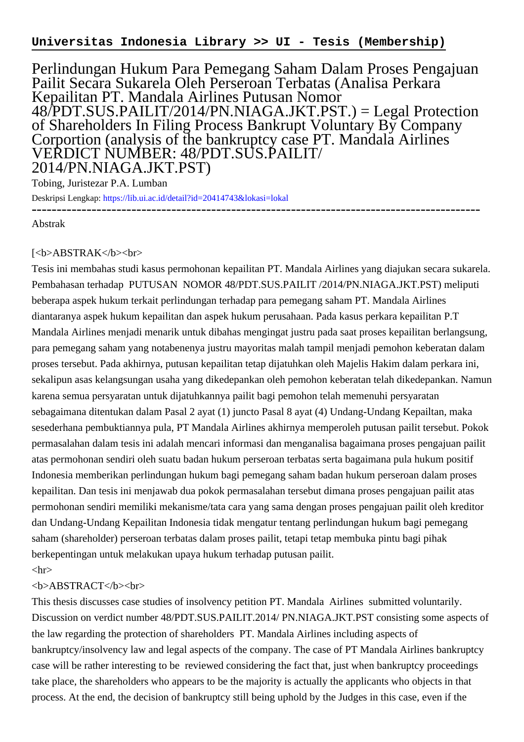## **Universitas Indonesia Library >> UI - Tesis (Membership)**

Perlindungan Hukum Para Pemegang Saham Dalam Proses Pengajuan Pailit Secara Sukarela Oleh Perseroan Terbatas (Analisa Perkara Kepailitan PT. Mandala Airlines Putusan Nomor 48/PDT.SUS.PAILIT/2014/PN.NIAGA.JKT.PST.) = Legal Protection of Shareholders In Filing Process Bankrupt Voluntary By Company Corportion (analysis of the bankruptcy case PT. Mandala Airlines VERDICT NUMBER: 48/PDT.SUS.PAILIT/ 2014/PN.NIAGA.JKT.PST)

Tobing, Juristezar P.A. Lumban

Deskripsi Lengkap:<https://lib.ui.ac.id/detail?id=20414743&lokasi=lokal> ------------------------------------------------------------------------------------------

Abstrak

## [<b>ABSTRAK</b><br/>shr>

Tesis ini membahas studi kasus permohonan kepailitan PT. Mandala Airlines yang diajukan secara sukarela. Pembahasan terhadap PUTUSAN NOMOR 48/PDT.SUS.PAILIT /2014/PN.NIAGA.JKT.PST) meliputi beberapa aspek hukum terkait perlindungan terhadap para pemegang saham PT. Mandala Airlines diantaranya aspek hukum kepailitan dan aspek hukum perusahaan. Pada kasus perkara kepailitan P.T Mandala Airlines menjadi menarik untuk dibahas mengingat justru pada saat proses kepailitan berlangsung, para pemegang saham yang notabenenya justru mayoritas malah tampil menjadi pemohon keberatan dalam proses tersebut. Pada akhirnya, putusan kepailitan tetap dijatuhkan oleh Majelis Hakim dalam perkara ini, sekalipun asas kelangsungan usaha yang dikedepankan oleh pemohon keberatan telah dikedepankan. Namun karena semua persyaratan untuk dijatuhkannya pailit bagi pemohon telah memenuhi persyaratan sebagaimana ditentukan dalam Pasal 2 ayat (1) juncto Pasal 8 ayat (4) Undang-Undang Kepailtan, maka sesederhana pembuktiannya pula, PT Mandala Airlines akhirnya memperoleh putusan pailit tersebut. Pokok permasalahan dalam tesis ini adalah mencari informasi dan menganalisa bagaimana proses pengajuan pailit atas permohonan sendiri oleh suatu badan hukum perseroan terbatas serta bagaimana pula hukum positif Indonesia memberikan perlindungan hukum bagi pemegang saham badan hukum perseroan dalam proses kepailitan. Dan tesis ini menjawab dua pokok permasalahan tersebut dimana proses pengajuan pailit atas permohonan sendiri memiliki mekanisme/tata cara yang sama dengan proses pengajuan pailit oleh kreditor dan Undang-Undang Kepailitan Indonesia tidak mengatur tentang perlindungan hukum bagi pemegang saham (shareholder) perseroan terbatas dalam proses pailit, tetapi tetap membuka pintu bagi pihak berkepentingan untuk melakukan upaya hukum terhadap putusan pailit.

## $\langle$ hr $>$

## <b>ABSTRACT</b><br>

This thesis discusses case studies of insolvency petition PT. Mandala Airlines submitted voluntarily. Discussion on verdict number 48/PDT.SUS.PAILIT.2014/ PN.NIAGA.JKT.PST consisting some aspects of the law regarding the protection of shareholders PT. Mandala Airlines including aspects of bankruptcy/insolvency law and legal aspects of the company. The case of PT Mandala Airlines bankruptcy case will be rather interesting to be reviewed considering the fact that, just when bankruptcy proceedings take place, the shareholders who appears to be the majority is actually the applicants who objects in that process. At the end, the decision of bankruptcy still being uphold by the Judges in this case, even if the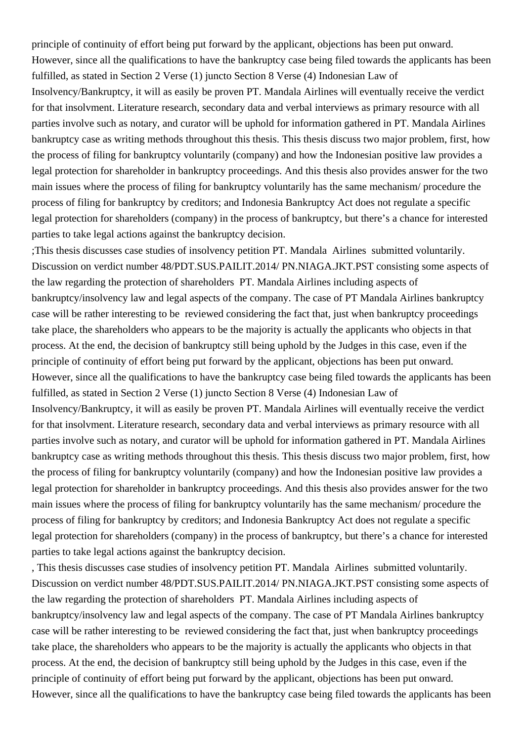principle of continuity of effort being put forward by the applicant, objections has been put onward. However, since all the qualifications to have the bankruptcy case being filed towards the applicants has been fulfilled, as stated in Section 2 Verse (1) juncto Section 8 Verse (4) Indonesian Law of

Insolvency/Bankruptcy, it will as easily be proven PT. Mandala Airlines will eventually receive the verdict for that insolvment. Literature research, secondary data and verbal interviews as primary resource with all parties involve such as notary, and curator will be uphold for information gathered in PT. Mandala Airlines bankruptcy case as writing methods throughout this thesis. This thesis discuss two major problem, first, how the process of filing for bankruptcy voluntarily (company) and how the Indonesian positive law provides a legal protection for shareholder in bankruptcy proceedings. And this thesis also provides answer for the two main issues where the process of filing for bankruptcy voluntarily has the same mechanism/ procedure the process of filing for bankruptcy by creditors; and Indonesia Bankruptcy Act does not regulate a specific legal protection for shareholders (company) in the process of bankruptcy, but there's a chance for interested parties to take legal actions against the bankruptcy decision.

;This thesis discusses case studies of insolvency petition PT. Mandala Airlines submitted voluntarily. Discussion on verdict number 48/PDT.SUS.PAILIT.2014/ PN.NIAGA.JKT.PST consisting some aspects of the law regarding the protection of shareholders PT. Mandala Airlines including aspects of bankruptcy/insolvency law and legal aspects of the company. The case of PT Mandala Airlines bankruptcy case will be rather interesting to be reviewed considering the fact that, just when bankruptcy proceedings take place, the shareholders who appears to be the majority is actually the applicants who objects in that process. At the end, the decision of bankruptcy still being uphold by the Judges in this case, even if the principle of continuity of effort being put forward by the applicant, objections has been put onward. However, since all the qualifications to have the bankruptcy case being filed towards the applicants has been fulfilled, as stated in Section 2 Verse (1) juncto Section 8 Verse (4) Indonesian Law of Insolvency/Bankruptcy, it will as easily be proven PT. Mandala Airlines will eventually receive the verdict for that insolvment. Literature research, secondary data and verbal interviews as primary resource with all parties involve such as notary, and curator will be uphold for information gathered in PT. Mandala Airlines bankruptcy case as writing methods throughout this thesis. This thesis discuss two major problem, first, how the process of filing for bankruptcy voluntarily (company) and how the Indonesian positive law provides a legal protection for shareholder in bankruptcy proceedings. And this thesis also provides answer for the two main issues where the process of filing for bankruptcy voluntarily has the same mechanism/ procedure the process of filing for bankruptcy by creditors; and Indonesia Bankruptcy Act does not regulate a specific legal protection for shareholders (company) in the process of bankruptcy, but there's a chance for interested parties to take legal actions against the bankruptcy decision.

, This thesis discusses case studies of insolvency petition PT. Mandala Airlines submitted voluntarily. Discussion on verdict number 48/PDT.SUS.PAILIT.2014/ PN.NIAGA.JKT.PST consisting some aspects of the law regarding the protection of shareholders PT. Mandala Airlines including aspects of bankruptcy/insolvency law and legal aspects of the company. The case of PT Mandala Airlines bankruptcy case will be rather interesting to be reviewed considering the fact that, just when bankruptcy proceedings take place, the shareholders who appears to be the majority is actually the applicants who objects in that process. At the end, the decision of bankruptcy still being uphold by the Judges in this case, even if the principle of continuity of effort being put forward by the applicant, objections has been put onward. However, since all the qualifications to have the bankruptcy case being filed towards the applicants has been